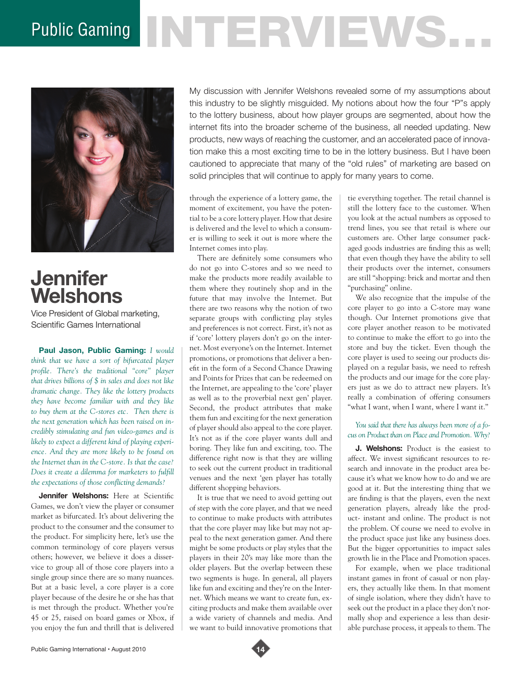# Public Gaming NTERVIEWS.



# **Jennifer Welshons**

Vice President of Global marketing, Scientific Games International

**Paul Jason, Public Gaming:** *I would think that we have a sort of bifurcated player profile. There's the traditional "core" player that drives billions of \$ in sales and does not like dramatic change. They like the lottery products they have become familiar with and they like to buy them at the C-stores etc. Then there is the next generation which has been raised on incredibly stimulating and fun video-games and is likely to expect a different kind of playing experience. And they are more likely to be found on the Internet than in the C-store. Is that the case? Does it create a dilemma for marketers to fulfill the expectations of those conflicting demands?*

**Jennifer Welshons:** Here at Scientific Games, we don't view the player or consumer market as bifurcated. It's about delivering the product to the consumer and the consumer to the product. For simplicity here, let's use the common terminology of core players versus others; however, we believe it does a disservice to group all of those core players into a single group since there are so many nuances. But at a basic level, a core player is a core player because of the desire he or she has that is met through the product. Whether you're 45 or 25, raised on board games or Xbox, if you enjoy the fun and thrill that is delivered

My discussion with Jennifer Welshons revealed some of my assumptions about this industry to be slightly misguided. My notions about how the four "P"s apply to the lottery business, about how player groups are segmented, about how the internet fits into the broader scheme of the business, all needed updating. New products, new ways of reaching the customer, and an accelerated pace of innovation make this a most exciting time to be in the lottery business. But I have been cautioned to appreciate that many of the "old rules" of marketing are based on solid principles that will continue to apply for many years to come.

through the experience of a lottery game, the moment of excitement, you have the potential to be a core lottery player. How that desire is delivered and the level to which a consumer is willing to seek it out is more where the Internet comes into play.

There are definitely some consumers who do not go into C-stores and so we need to make the products more readily available to them where they routinely shop and in the future that may involve the Internet. But there are two reasons why the notion of two separate groups with conflicting play styles and preferences is not correct. First, it's not as if 'core' lottery players don't go on the internet. Most everyone's on the Internet. Internet promotions, or promotions that deliver a benefit in the form of a Second Chance Drawing and Points for Prizes that can be redeemed on the Internet, are appealing to the 'core' player as well as to the proverbial next gen' player. Second, the product attributes that make them fun and exciting for the next generation of player should also appeal to the core player. It's not as if the core player wants dull and boring. They like fun and exciting, too. The difference right now is that they are willing to seek out the current product in traditional venues and the next 'gen player has totally different shopping behaviors.

It is true that we need to avoid getting out of step with the core player, and that we need to continue to make products with attributes that the core player may like but may not appeal to the next generation gamer. And there might be some products or play styles that the players in their 20's may like more than the older players. But the overlap between these two segments is huge. In general, all players like fun and exciting and they're on the Internet. Which means we want to create fun, exciting products and make them available over a wide variety of channels and media. And we want to build innovative promotions that

tie everything together. The retail channel is still the lottery face to the customer. When you look at the actual numbers as opposed to trend lines, you see that retail is where our customers are. Other large consumer packaged goods industries are finding this as well; that even though they have the ability to sell their products over the internet, consumers are still "shopping: brick and mortar and then "purchasing" online.

We also recognize that the impulse of the core player to go into a C-store may wane though. Our Internet promotions give that core player another reason to be motivated to continue to make the effort to go into the store and buy the ticket. Even though the core player is used to seeing our products displayed on a regular basis, we need to refresh the products and our image for the core players just as we do to attract new players. It's really a combination of offering consumers "what I want, when I want, where I want it."

## *You said that there has always been more of a focus on Product than on Place and Promotion. Why?*

**J. Welshons:** Product is the easiest to affect. We invest significant resources to research and innovate in the product area because it's what we know how to do and we are good at it. But the interesting thing that we are finding is that the players, even the next generation players, already like the product- instant and online. The product is not the problem. Of course we need to evolve in the product space just like any business does. But the bigger opportunities to impact sales growth lie in the Place and Promotion spaces.

For example, when we place traditional instant games in front of casual or non players, they actually like them. In that moment of single isolation, where they didn't have to seek out the product in a place they don't normally shop and experience a less than desirable purchase process, it appeals to them. The

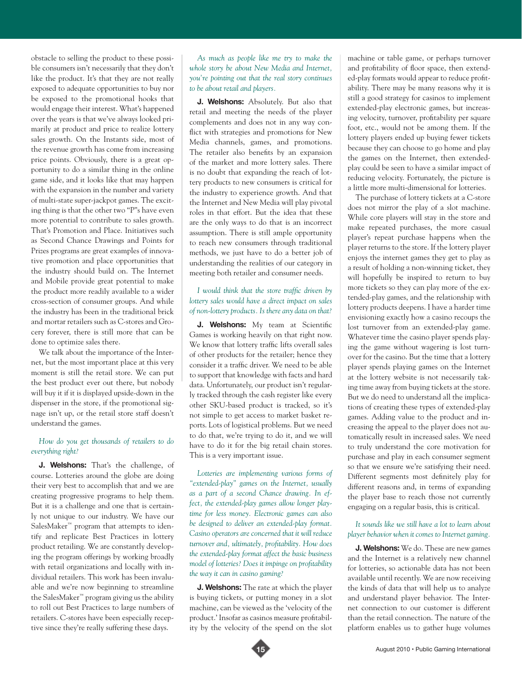obstacle to selling the product to these possible consumers isn't necessarily that they don't like the product. It's that they are not really exposed to adequate opportunities to buy nor be exposed to the promotional hooks that would engage their interest. What's happened over the years is that we've always looked primarily at product and price to realize lottery sales growth. On the Instants side, most of the revenue growth has come from increasing price points. Obviously, there is a great opportunity to do a similar thing in the online game side, and it looks like that may happen with the expansion in the number and variety of multi-state super-jackpot games. The exciting thing is that the other two "P"s have even more potential to contribute to sales growth. That's Promotion and Place. Initiatives such as Second Chance Drawings and Points for Prizes programs are great examples of innovative promotion and place opportunities that the industry should build on. The Internet and Mobile provide great potential to make the product more readily available to a wider cross-section of consumer groups. And while the industry has been in the traditional brick and mortar retailers such as C-stores and Grocery forever, there is still more that can be done to optimize sales there.

We talk about the importance of the Internet, but the most important place at this very moment is still the retail store. We can put the best product ever out there, but nobody will buy it if it is displayed upside-down in the dispenser in the store, if the promotional signage isn't up, or the retail store staff doesn't understand the games.

#### *How do you get thousands of retailers to do everything right?*

**J. Welshons:** That's the challenge, of course. Lotteries around the globe are doing their very best to accomplish that and we are creating progressive programs to help them. But it is a challenge and one that is certainly not unique to our industry. We have our SalesMaker™ program that attempts to identify and replicate Best Practices in lottery product retailing. We are constantly developing the program offerings by working broadly with retail organizations and locally with individual retailers. This work has been invaluable and we're now beginning to streamline the SalesMaker™ program giving us the ability to roll out Best Practices to large numbers of retailers. C-stores have been especially receptive since they're really suffering these days.

*As much as people like me try to make the whole story be about New Media and Internet, you're pointing out that the real story continues to be about retail and players.* 

**J. Welshons:** Absolutely. But also that retail and meeting the needs of the player complements and does not in any way conflict with strategies and promotions for New Media channels, games, and promotions. The retailer also benefits by an expansion of the market and more lottery sales. There is no doubt that expanding the reach of lottery products to new consumers is critical for the industry to experience growth. And that the Internet and New Media will play pivotal roles in that effort. But the idea that these are the only ways to do that is an incorrect assumption. There is still ample opportunity to reach new consumers through traditional methods, we just have to do a better job of understanding the realities of our category in meeting both retailer and consumer needs.

# *I would think that the store traffic driven by lottery sales would have a direct impact on sales of non-lottery products. Is there any data on that?*

**J. Welshons:** My team at Scientific Games is working heavily on that right now. We know that lottery traffic lifts overall sales of other products for the retailer; hence they consider it a traffic driver. We need to be able to support that knowledge with facts and hard data. Unfortunately, our product isn't regularly tracked through the cash register like every other SKU-based product is tracked, so it's not simple to get access to market basket reports. Lots of logistical problems. But we need to do that, we're trying to do it, and we will have to do it for the big retail chain stores. This is a very important issue.

*Lotteries are implementing various forms of "extended-play" games on the Internet, usually as a part of a second Chance drawing. In effect, the extended-play games allow longer playtime for less money. Electronic games can also be designed to deliver an extended-play format. Casino operators are concerned that it will reduce turnover and, ultimately, profitability. How does the extended-play format affect the basic business model of lotteries? Does it impinge on profitability the way it can in casino gaming?*

**J. Welshons:** The rate at which the player is buying tickets, or putting money in a slot machine, can be viewed as the 'velocity of the product.' Insofar as casinos measure profitability by the velocity of the spend on the slot

machine or table game, or perhaps turnover and profitability of floor space, then extended-play formats would appear to reduce profitability. There may be many reasons why it is still a good strategy for casinos to implement extended-play electronic games, but increasing velocity, turnover, profitability per square foot, etc., would not be among them. If the lottery players ended up buying fewer tickets because they can choose to go home and play the games on the Internet, then extendedplay could be seen to have a similar impact of reducing velocity. Fortunately, the picture is a little more multi-dimensional for lotteries.

The purchase of lottery tickets at a C-store does not mirror the play of a slot machine. While core players will stay in the store and make repeated purchases, the more casual player's repeat purchase happens when the player returns to the store. If the lottery player enjoys the internet games they get to play as a result of holding a non-winning ticket, they will hopefully be inspired to return to buy more tickets so they can play more of the extended-play games, and the relationship with lottery products deepens. I have a harder time envisioning exactly how a casino recoups the lost turnover from an extended-play game. Whatever time the casino player spends playing the game without wagering is lost turnover for the casino. But the time that a lottery player spends playing games on the Internet at the lottery website is not necessarily taking time away from buying tickets at the store. But we do need to understand all the implications of creating these types of extended-play games. Adding value to the product and increasing the appeal to the player does not automatically result in increased sales. We need to truly understand the core motivation for purchase and play in each consumer segment so that we ensure we're satisfying their need. Different segments most definitely play for different reasons and, in terms of expanding the player base to reach those not currently engaging on a regular basis, this is critical.

#### *It sounds like we still have a lot to learn about player behavior when it comes to Internet gaming.*

**J. Welshons:** We do. These are new games and the Internet is a relatively new channel for lotteries, so actionable data has not been available until recently. We are now receiving the kinds of data that will help us to analyze and understand player behavior. The Internet connection to our customer is different than the retail connection. The nature of the platform enables us to gather huge volumes